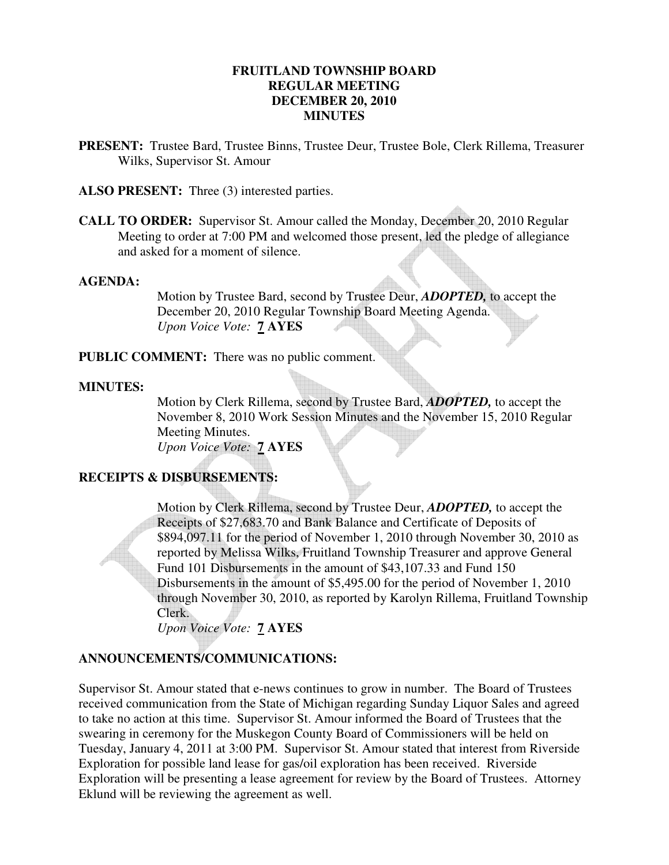### **FRUITLAND TOWNSHIP BOARD REGULAR MEETING DECEMBER 20, 2010 MINUTES**

**PRESENT:** Trustee Bard, Trustee Binns, Trustee Deur, Trustee Bole, Clerk Rillema, Treasurer Wilks, Supervisor St. Amour

**ALSO PRESENT:** Three (3) interested parties.

**CALL TO ORDER:** Supervisor St. Amour called the Monday, December 20, 2010 Regular Meeting to order at 7:00 PM and welcomed those present, led the pledge of allegiance and asked for a moment of silence.

#### **AGENDA:**

Motion by Trustee Bard, second by Trustee Deur, *ADOPTED,* to accept the December 20, 2010 Regular Township Board Meeting Agenda. *Upon Voice Vote:* **7 AYES**

**PUBLIC COMMENT:** There was no public comment.

#### **MINUTES:**

Motion by Clerk Rillema, second by Trustee Bard, *ADOPTED,* to accept the November 8, 2010 Work Session Minutes and the November 15, 2010 Regular Meeting Minutes. *Upon Voice Vote:* **7 AYES**

### **RECEIPTS & DISBURSEMENTS:**

Motion by Clerk Rillema, second by Trustee Deur, *ADOPTED,* to accept the Receipts of \$27,683.70 and Bank Balance and Certificate of Deposits of \$894,097.11 for the period of November 1, 2010 through November 30, 2010 as reported by Melissa Wilks, Fruitland Township Treasurer and approve General Fund 101 Disbursements in the amount of \$43,107.33 and Fund 150 Disbursements in the amount of \$5,495.00 for the period of November 1, 2010 through November 30, 2010, as reported by Karolyn Rillema, Fruitland Township Clerk.

*Upon Voice Vote:* **7 AYES**

#### **ANNOUNCEMENTS/COMMUNICATIONS:**

Supervisor St. Amour stated that e-news continues to grow in number. The Board of Trustees received communication from the State of Michigan regarding Sunday Liquor Sales and agreed to take no action at this time. Supervisor St. Amour informed the Board of Trustees that the swearing in ceremony for the Muskegon County Board of Commissioners will be held on Tuesday, January 4, 2011 at 3:00 PM. Supervisor St. Amour stated that interest from Riverside Exploration for possible land lease for gas/oil exploration has been received. Riverside Exploration will be presenting a lease agreement for review by the Board of Trustees. Attorney Eklund will be reviewing the agreement as well.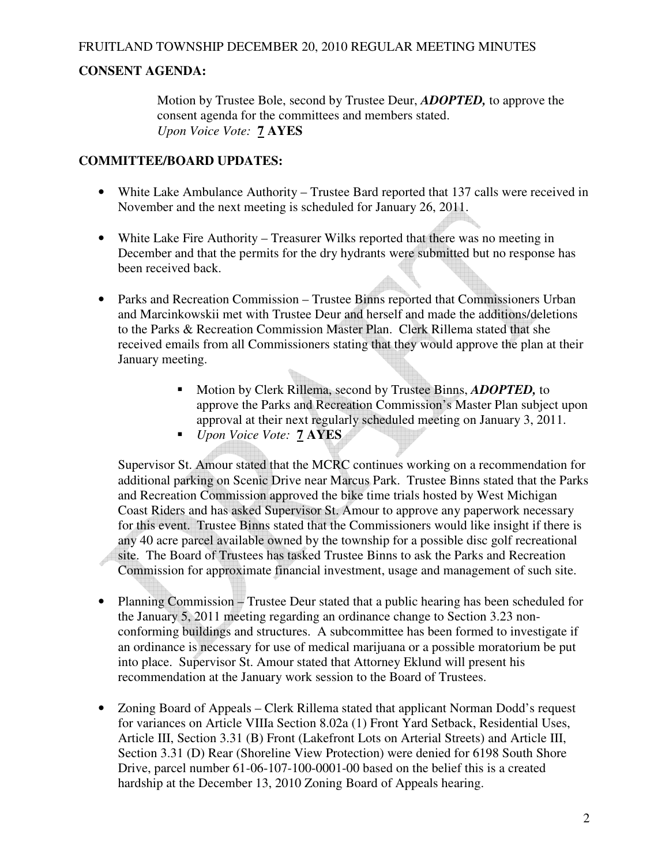# **CONSENT AGENDA:**

Motion by Trustee Bole, second by Trustee Deur, *ADOPTED,* to approve the consent agenda for the committees and members stated. *Upon Voice Vote:* **7 AYES**

# **COMMITTEE/BOARD UPDATES:**

- White Lake Ambulance Authority Trustee Bard reported that 137 calls were received in November and the next meeting is scheduled for January 26, 2011.
- White Lake Fire Authority Treasurer Wilks reported that there was no meeting in December and that the permits for the dry hydrants were submitted but no response has been received back.
- Parks and Recreation Commission Trustee Binns reported that Commissioners Urban and Marcinkowskii met with Trustee Deur and herself and made the additions/deletions to the Parks & Recreation Commission Master Plan. Clerk Rillema stated that she received emails from all Commissioners stating that they would approve the plan at their January meeting.
	- Motion by Clerk Rillema, second by Trustee Binns, *ADOPTED,* to approve the Parks and Recreation Commission's Master Plan subject upon approval at their next regularly scheduled meeting on January 3, 2011.
	- *Upon Voice Vote:* **7 AYES**

Supervisor St. Amour stated that the MCRC continues working on a recommendation for additional parking on Scenic Drive near Marcus Park. Trustee Binns stated that the Parks and Recreation Commission approved the bike time trials hosted by West Michigan Coast Riders and has asked Supervisor St. Amour to approve any paperwork necessary for this event. Trustee Binns stated that the Commissioners would like insight if there is any 40 acre parcel available owned by the township for a possible disc golf recreational site. The Board of Trustees has tasked Trustee Binns to ask the Parks and Recreation Commission for approximate financial investment, usage and management of such site.

- Planning Commission Trustee Deur stated that a public hearing has been scheduled for the January 5, 2011 meeting regarding an ordinance change to Section 3.23 nonconforming buildings and structures. A subcommittee has been formed to investigate if an ordinance is necessary for use of medical marijuana or a possible moratorium be put into place. Supervisor St. Amour stated that Attorney Eklund will present his recommendation at the January work session to the Board of Trustees.
- Zoning Board of Appeals Clerk Rillema stated that applicant Norman Dodd's request for variances on Article VIIIa Section 8.02a (1) Front Yard Setback, Residential Uses, Article III, Section 3.31 (B) Front (Lakefront Lots on Arterial Streets) and Article III, Section 3.31 (D) Rear (Shoreline View Protection) were denied for 6198 South Shore Drive, parcel number 61-06-107-100-0001-00 based on the belief this is a created hardship at the December 13, 2010 Zoning Board of Appeals hearing.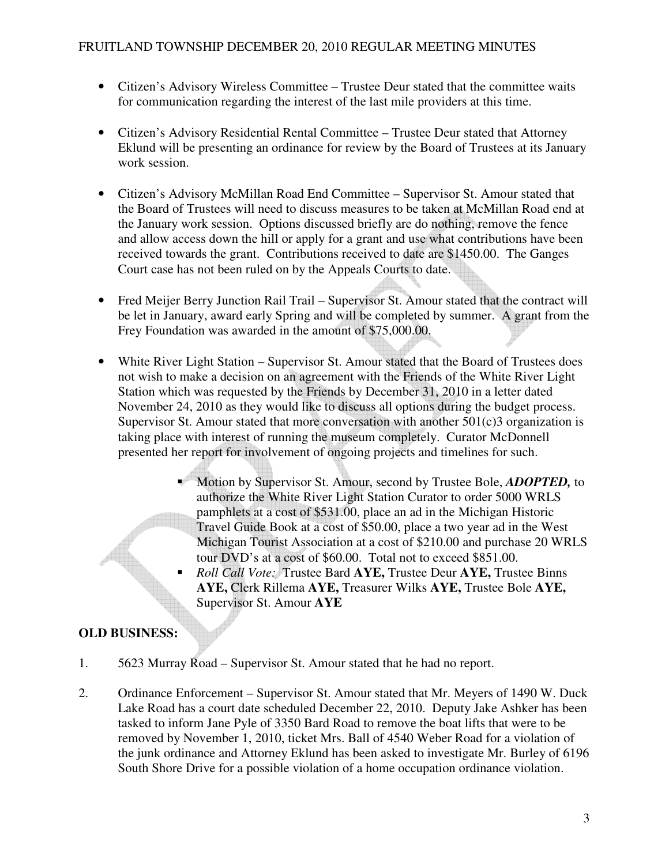- Citizen's Advisory Wireless Committee Trustee Deur stated that the committee waits for communication regarding the interest of the last mile providers at this time.
- Citizen's Advisory Residential Rental Committee Trustee Deur stated that Attorney Eklund will be presenting an ordinance for review by the Board of Trustees at its January work session.
- Citizen's Advisory McMillan Road End Committee Supervisor St. Amour stated that the Board of Trustees will need to discuss measures to be taken at McMillan Road end at the January work session. Options discussed briefly are do nothing, remove the fence and allow access down the hill or apply for a grant and use what contributions have been received towards the grant. Contributions received to date are \$1450.00. The Ganges Court case has not been ruled on by the Appeals Courts to date.
- Fred Meijer Berry Junction Rail Trail Supervisor St. Amour stated that the contract will be let in January, award early Spring and will be completed by summer. A grant from the Frey Foundation was awarded in the amount of \$75,000.00.
- White River Light Station Supervisor St. Amour stated that the Board of Trustees does not wish to make a decision on an agreement with the Friends of the White River Light Station which was requested by the Friends by December 31, 2010 in a letter dated November 24, 2010 as they would like to discuss all options during the budget process. Supervisor St. Amour stated that more conversation with another  $501(c)3$  organization is taking place with interest of running the museum completely. Curator McDonnell presented her report for involvement of ongoing projects and timelines for such.
	- Motion by Supervisor St. Amour, second by Trustee Bole, *ADOPTED,* to authorize the White River Light Station Curator to order 5000 WRLS pamphlets at a cost of \$531.00, place an ad in the Michigan Historic Travel Guide Book at a cost of \$50.00, place a two year ad in the West Michigan Tourist Association at a cost of \$210.00 and purchase 20 WRLS tour DVD's at a cost of \$60.00. Total not to exceed \$851.00.
	- *Roll Call Vote:* Trustee Bard **AYE,** Trustee Deur **AYE,** Trustee Binns **AYE,** Clerk Rillema **AYE,** Treasurer Wilks **AYE,** Trustee Bole **AYE,** Supervisor St. Amour **AYE**

# **OLD BUSINESS:**

- 1. 5623 Murray Road Supervisor St. Amour stated that he had no report.
- 2. Ordinance Enforcement Supervisor St. Amour stated that Mr. Meyers of 1490 W. Duck Lake Road has a court date scheduled December 22, 2010. Deputy Jake Ashker has been tasked to inform Jane Pyle of 3350 Bard Road to remove the boat lifts that were to be removed by November 1, 2010, ticket Mrs. Ball of 4540 Weber Road for a violation of the junk ordinance and Attorney Eklund has been asked to investigate Mr. Burley of 6196 South Shore Drive for a possible violation of a home occupation ordinance violation.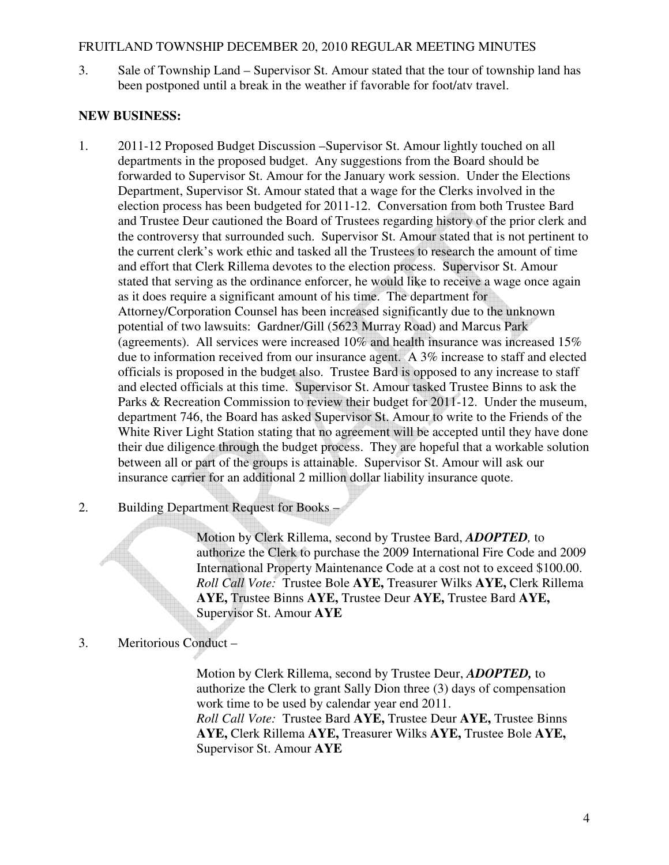### FRUITLAND TOWNSHIP DECEMBER 20, 2010 REGULAR MEETING MINUTES

3. Sale of Township Land – Supervisor St. Amour stated that the tour of township land has been postponed until a break in the weather if favorable for foot/atv travel.

## **NEW BUSINESS:**

- 1. 2011-12 Proposed Budget Discussion –Supervisor St. Amour lightly touched on all departments in the proposed budget. Any suggestions from the Board should be forwarded to Supervisor St. Amour for the January work session. Under the Elections Department, Supervisor St. Amour stated that a wage for the Clerks involved in the election process has been budgeted for 2011-12. Conversation from both Trustee Bard and Trustee Deur cautioned the Board of Trustees regarding history of the prior clerk and the controversy that surrounded such. Supervisor St. Amour stated that is not pertinent to the current clerk's work ethic and tasked all the Trustees to research the amount of time and effort that Clerk Rillema devotes to the election process. Supervisor St. Amour stated that serving as the ordinance enforcer, he would like to receive a wage once again as it does require a significant amount of his time. The department for Attorney/Corporation Counsel has been increased significantly due to the unknown potential of two lawsuits: Gardner/Gill (5623 Murray Road) and Marcus Park (agreements). All services were increased 10% and health insurance was increased 15% due to information received from our insurance agent. A 3% increase to staff and elected officials is proposed in the budget also. Trustee Bard is opposed to any increase to staff and elected officials at this time. Supervisor St. Amour tasked Trustee Binns to ask the Parks & Recreation Commission to review their budget for 2011-12. Under the museum, department 746, the Board has asked Supervisor St. Amour to write to the Friends of the White River Light Station stating that no agreement will be accepted until they have done their due diligence through the budget process. They are hopeful that a workable solution between all or part of the groups is attainable. Supervisor St. Amour will ask our insurance carrier for an additional 2 million dollar liability insurance quote.
- 2. Building Department Request for Books –

Motion by Clerk Rillema, second by Trustee Bard, *ADOPTED,* to authorize the Clerk to purchase the 2009 International Fire Code and 2009 International Property Maintenance Code at a cost not to exceed \$100.00. *Roll Call Vote:* Trustee Bole **AYE,** Treasurer Wilks **AYE,** Clerk Rillema **AYE,** Trustee Binns **AYE,** Trustee Deur **AYE,** Trustee Bard **AYE,** Supervisor St. Amour **AYE**

# 3. Meritorious Conduct –

Motion by Clerk Rillema, second by Trustee Deur, *ADOPTED,* to authorize the Clerk to grant Sally Dion three (3) days of compensation work time to be used by calendar year end 2011. *Roll Call Vote:* Trustee Bard **AYE,** Trustee Deur **AYE,** Trustee Binns **AYE,** Clerk Rillema **AYE,** Treasurer Wilks **AYE,** Trustee Bole **AYE,** Supervisor St. Amour **AYE**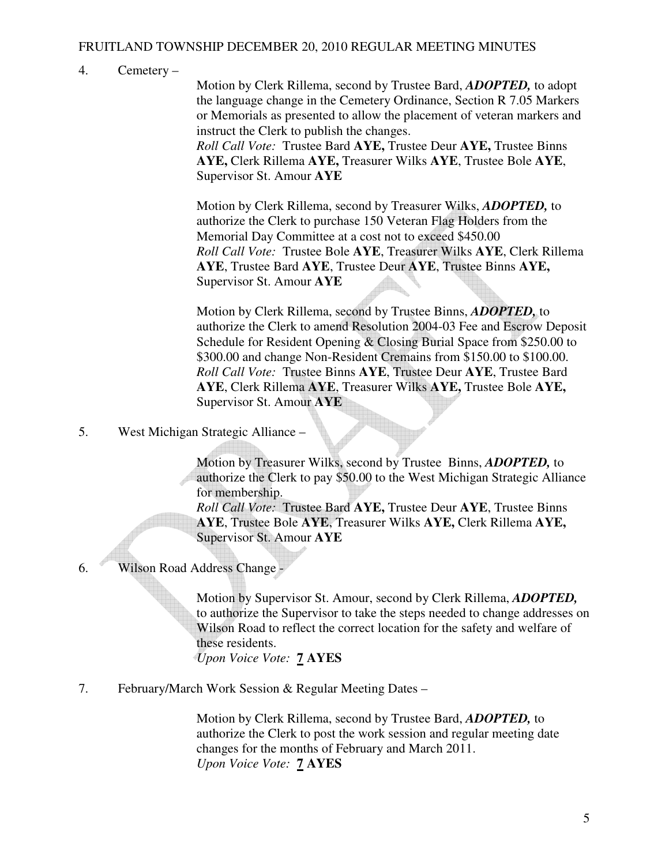# FRUITLAND TOWNSHIP DECEMBER 20, 2010 REGULAR MEETING MINUTES

### 4. Cemetery –

Motion by Clerk Rillema, second by Trustee Bard, *ADOPTED,* to adopt the language change in the Cemetery Ordinance, Section R 7.05 Markers or Memorials as presented to allow the placement of veteran markers and instruct the Clerk to publish the changes.

*Roll Call Vote:* Trustee Bard **AYE,** Trustee Deur **AYE,** Trustee Binns **AYE,** Clerk Rillema **AYE,** Treasurer Wilks **AYE**, Trustee Bole **AYE**, Supervisor St. Amour **AYE** 

Motion by Clerk Rillema, second by Treasurer Wilks, *ADOPTED,* to authorize the Clerk to purchase 150 Veteran Flag Holders from the Memorial Day Committee at a cost not to exceed \$450.00 *Roll Call Vote:* Trustee Bole **AYE**, Treasurer Wilks **AYE**, Clerk Rillema **AYE**, Trustee Bard **AYE**, Trustee Deur **AYE**, Trustee Binns **AYE,** Supervisor St. Amour **AYE** 

Motion by Clerk Rillema, second by Trustee Binns, *ADOPTED,* to authorize the Clerk to amend Resolution 2004-03 Fee and Escrow Deposit Schedule for Resident Opening & Closing Burial Space from \$250.00 to \$300.00 and change Non-Resident Cremains from \$150.00 to \$100.00. *Roll Call Vote:* Trustee Binns **AYE**, Trustee Deur **AYE**, Trustee Bard **AYE**, Clerk Rillema **AYE**, Treasurer Wilks **AYE,** Trustee Bole **AYE,** Supervisor St. Amour **AYE**

5. West Michigan Strategic Alliance –

Motion by Treasurer Wilks, second by Trustee Binns, *ADOPTED,* to authorize the Clerk to pay \$50.00 to the West Michigan Strategic Alliance for membership.

*Roll Call Vote:* Trustee Bard **AYE,** Trustee Deur **AYE**, Trustee Binns **AYE**, Trustee Bole **AYE**, Treasurer Wilks **AYE,** Clerk Rillema **AYE,** Supervisor St. Amour **AYE**

6. Wilson Road Address Change -

Motion by Supervisor St. Amour, second by Clerk Rillema, *ADOPTED,*  to authorize the Supervisor to take the steps needed to change addresses on Wilson Road to reflect the correct location for the safety and welfare of these residents. *Upon Voice Vote:* **7 AYES**

7. February/March Work Session & Regular Meeting Dates –

Motion by Clerk Rillema, second by Trustee Bard, *ADOPTED,* to authorize the Clerk to post the work session and regular meeting date changes for the months of February and March 2011. *Upon Voice Vote:* **7 AYES**